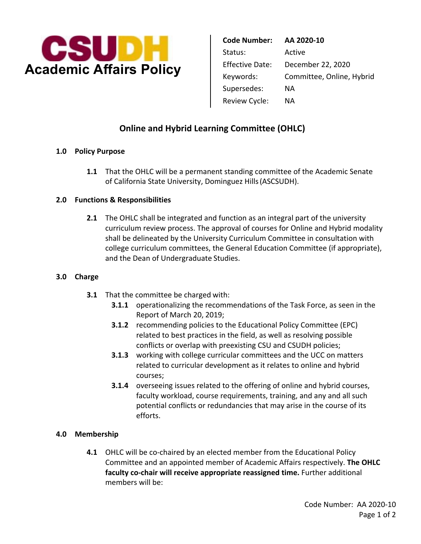

 Supersedes: NA Review Cycle: NA **Code Number: AA 2020-10**  Status: Active Effective Date: December 22, 2020 Keywords: Committee, Online, Hybrid

# **Online and Hybrid Learning Committee (OHLC)**

## **1.0 Policy Purpose**

 of California State University, Dominguez Hills (ASCSUDH). **1.1** That the OHLC will be a permanent standing committee of the Academic Senate

## **2.0 Functions & Responsibilities**

 and the Dean of Undergraduate Studies. **2.1** The OHLC shall be integrated and function as an integral part of the university curriculum review process. The approval of courses for Online and Hybrid modality shall be delineated by the University Curriculum Committee in consultation with college curriculum committees, the General Education Committee (if appropriate),

#### **3.0 Charge**

- **3.1** That the committee be charged with:
	- Report of March 20, 2019; **3.1.1 operationalizing the recommendations of the Task Force, as seen in the**
	- **3.1.2** recommending policies to the Educational Policy Committee (EPC) related to best practices in the field, as well as resolving possible conflicts or overlap with preexisting CSU and CSUDH policies;
	- **3.1.3** working with college curricular committees and the UCC on matters related to curricular development as it relates to online and hybrid courses;
	- **3.1.4** overseeing issues related to the offering of online and hybrid courses, faculty workload, course requirements, training, and any and all such potential conflicts or redundancies that may arise in the course of its efforts.

# **4.0 Membership**

 members will be: **4.1** OHLC will be co-chaired by an elected member from the Educational Policy Committee and an appointed member of Academic Affairs respectively. **The OHLC faculty co-chair will receive appropriate reassigned time.** Further additional